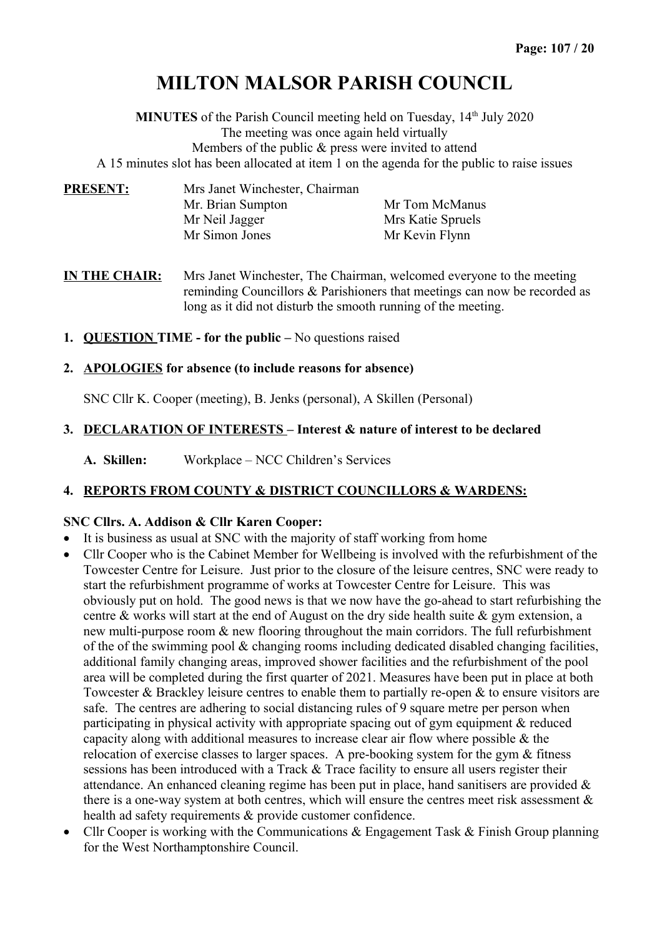# **MILTON MALSOR PARISH COUNCIL**

**MINUTES** of the Parish Council meeting held on Tuesday, 14<sup>th</sup> July 2020 The meeting was once again held virtually Members of the public & press were invited to attend

A 15 minutes slot has been allocated at item 1 on the agenda for the public to raise issues

| <b>PRESENT:</b> | Mrs Janet Winchester, Chairman |                   |  |
|-----------------|--------------------------------|-------------------|--|
|                 | Mr. Brian Sumpton              | Mr Tom McManus    |  |
|                 | Mr Neil Jagger                 | Mrs Katie Spruels |  |
|                 | Mr Simon Jones                 | Mr Kevin Flynn    |  |

**IN THE CHAIR:** Mrs Janet Winchester, The Chairman, welcomed everyone to the meeting reminding Councillors & Parishioners that meetings can now be recorded as long as it did not disturb the smooth running of the meeting.

- **1. QUESTION TIME for the public** No questions raised
- **2. APOLOGIES for absence (to include reasons for absence)**

SNC Cllr K. Cooper (meeting), B. Jenks (personal), A Skillen (Personal)

#### **3. DECLARATION OF INTERESTS – Interest & nature of interest to be declared**

**A. Skillen:** Workplace – NCC Children's Services

## **4. REPORTS FROM COUNTY & DISTRICT COUNCILLORS & WARDENS:**

#### **SNC Cllrs. A. Addison & Cllr Karen Cooper:**

- It is business as usual at SNC with the majority of staff working from home
- Cllr Cooper who is the Cabinet Member for Wellbeing is involved with the refurbishment of the Towcester Centre for Leisure. Just prior to the closure of the leisure centres, SNC were ready to start the refurbishment programme of works at Towcester Centre for Leisure. This was obviously put on hold. The good news is that we now have the go-ahead to start refurbishing the centre & works will start at the end of August on the dry side health suite & gym extension, a new multi-purpose room & new flooring throughout the main corridors. The full refurbishment of the of the swimming pool & changing rooms including dedicated disabled changing facilities, additional family changing areas, improved shower facilities and the refurbishment of the pool area will be completed during the first quarter of 2021. Measures have been put in place at both Towcester & Brackley leisure centres to enable them to partially re-open & to ensure visitors are safe. The centres are adhering to social distancing rules of 9 square metre per person when participating in physical activity with appropriate spacing out of gym equipment & reduced capacity along with additional measures to increase clear air flow where possible & the relocation of exercise classes to larger spaces. A pre-booking system for the gym & fitness sessions has been introduced with a Track & Trace facility to ensure all users register their attendance. An enhanced cleaning regime has been put in place, hand sanitisers are provided  $\&$ there is a one-way system at both centres, which will ensure the centres meet risk assessment  $\&$ health ad safety requirements & provide customer confidence.
- Cllr Cooper is working with the Communications & Engagement Task & Finish Group planning for the West Northamptonshire Council.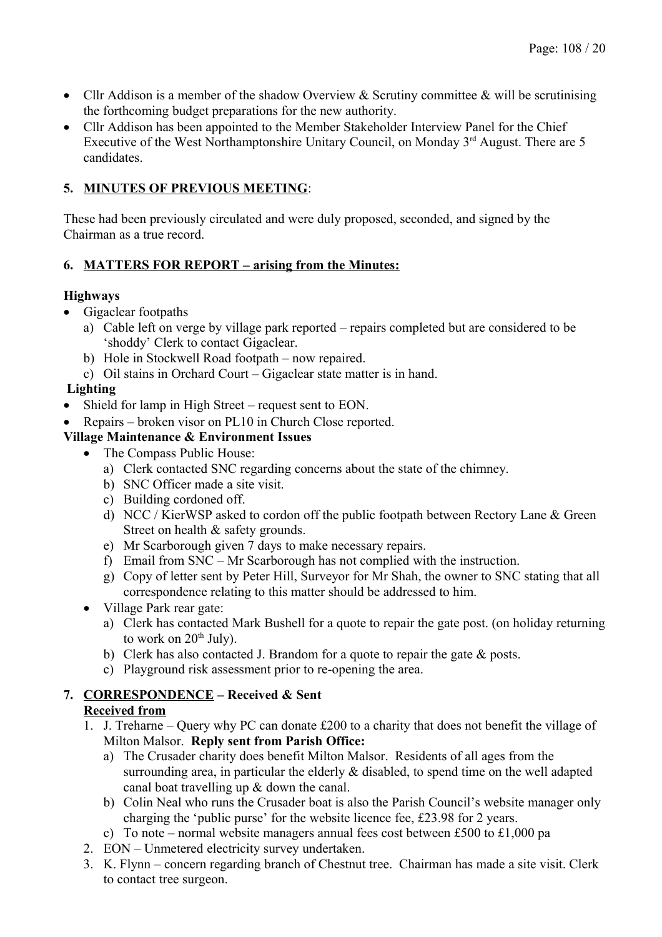- Cllr Addison is a member of the shadow Overview & Scrutiny committee & will be scrutinising the forthcoming budget preparations for the new authority.
- Cllr Addison has been appointed to the Member Stakeholder Interview Panel for the Chief Executive of the West Northamptonshire Unitary Council, on Monday  $3<sup>rd</sup>$  August. There are 5 candidates.

# **5. MINUTES OF PREVIOUS MEETING**:

These had been previously circulated and were duly proposed, seconded, and signed by the Chairman as a true record.

# **6. MATTERS FOR REPORT – arising from the Minutes:**

## **Highways**

- Gigaclear footpaths
	- a) Cable left on verge by village park reported repairs completed but are considered to be 'shoddy' Clerk to contact Gigaclear.
	- b) Hole in Stockwell Road footpath now repaired.
	- c) Oil stains in Orchard Court Gigaclear state matter is in hand.

# **Lighting**

- Shield for lamp in High Street request sent to EON.
- Repairs broken visor on PL10 in Church Close reported.

# **Village Maintenance & Environment Issues**

- The Compass Public House:
	- a) Clerk contacted SNC regarding concerns about the state of the chimney.
	- b) SNC Officer made a site visit.
	- c) Building cordoned off.
	- d) NCC / KierWSP asked to cordon off the public footpath between Rectory Lane & Green Street on health & safety grounds.
	- e) Mr Scarborough given 7 days to make necessary repairs.
	- f) Email from SNC Mr Scarborough has not complied with the instruction.
	- g) Copy of letter sent by Peter Hill, Surveyor for Mr Shah, the owner to SNC stating that all correspondence relating to this matter should be addressed to him.
- Village Park rear gate:
	- a) Clerk has contacted Mark Bushell for a quote to repair the gate post. (on holiday returning to work on  $20<sup>th</sup>$  July).
	- b) Clerk has also contacted J. Brandom for a quote to repair the gate & posts.
	- c) Playground risk assessment prior to re-opening the area.

## **7. CORRESPONDENCE – Received & Sent Received from**

- 1. J. Treharne Query why PC can donate £200 to a charity that does not benefit the village of Milton Malsor. **Reply sent from Parish Office:** 
	- a) The Crusader charity does benefit Milton Malsor. Residents of all ages from the surrounding area, in particular the elderly & disabled, to spend time on the well adapted canal boat travelling up & down the canal.
	- b) Colin Neal who runs the Crusader boat is also the Parish Council's website manager only charging the 'public purse' for the website licence fee, £23.98 for 2 years.
	- c) To note normal website managers annual fees cost between £500 to £1,000 pa
- 2. EON Unmetered electricity survey undertaken.
- 3. K. Flynn concern regarding branch of Chestnut tree. Chairman has made a site visit. Clerk to contact tree surgeon.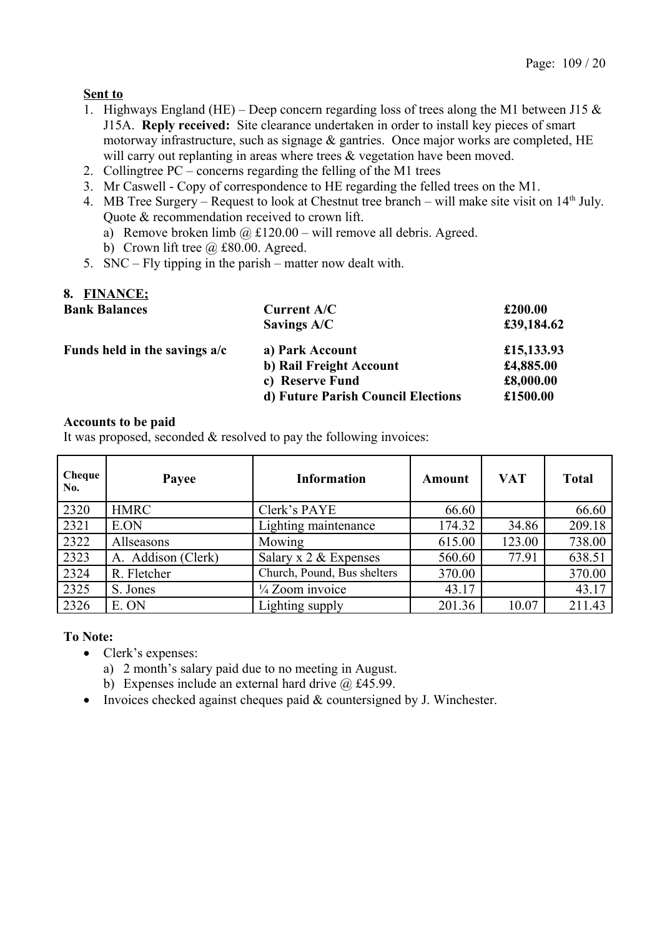## **Sent to**

- 1. Highways England (HE) Deep concern regarding loss of trees along the M1 between J15  $\&$ J15A. **Reply received:** Site clearance undertaken in order to install key pieces of smart motorway infrastructure, such as signage & gantries. Once major works are completed, HE will carry out replanting in areas where trees & vegetation have been moved.
- 2. Collingtree PC concerns regarding the felling of the M1 trees
- 3. Mr Caswell Copy of correspondence to HE regarding the felled trees on the M1.
- 4. MB Tree Surgery Request to look at Chestnut tree branch will make site visit on 14<sup>th</sup> July. Quote & recommendation received to crown lift.
	- a) Remove broken limb  $\omega$  £120.00 will remove all debris. Agreed.
	- b) Crown lift tree  $\omega$  £80.00. Agreed.
- 5. SNC Fly tipping in the parish matter now dealt with.

## **8. FINANCE;**

| <b>Bank Balances</b>          | <b>Current A/C</b>                 | £200.00    |
|-------------------------------|------------------------------------|------------|
|                               | Savings A/C                        | £39,184.62 |
| Funds held in the savings a/c | a) Park Account                    | £15,133.93 |
|                               | b) Rail Freight Account            | £4,885.00  |
|                               | c) Reserve Fund                    | £8,000.00  |
|                               | d) Future Parish Council Elections | £1500.00   |

#### **Accounts to be paid**

It was proposed, seconded & resolved to pay the following invoices:

| Cheque<br>No. | Payee              | Information                 | Amount | <b>VAT</b> | <b>Total</b> |
|---------------|--------------------|-----------------------------|--------|------------|--------------|
| 2320          | <b>HMRC</b>        | Clerk's PAYE                | 66.60  |            | 66.60        |
| 2321          | E.ON               | Lighting maintenance        | 174.32 | 34.86      | 209.18       |
| 2322          | Allseasons         | Mowing                      | 615.00 | 123.00     | 738.00       |
| 2323          | A. Addison (Clerk) | Salary x $2 &$ Expenses     | 560.60 | 77.91      | 638.51       |
| 2324          | R. Fletcher        | Church, Pound, Bus shelters | 370.00 |            | 370.00       |
| 2325          | S. Jones           | 1/4 Zoom invoice            | 43.17  |            | 43.17        |
| 2326          | E. ON              | Lighting supply             | 201.36 | 10.07      | 211.43       |

#### **To Note:**

- Clerk's expenses:
	- a) 2 month's salary paid due to no meeting in August.
	- b) Expenses include an external hard drive  $\omega$  £45.99.
- Invoices checked against cheques paid  $&$  countersigned by J. Winchester.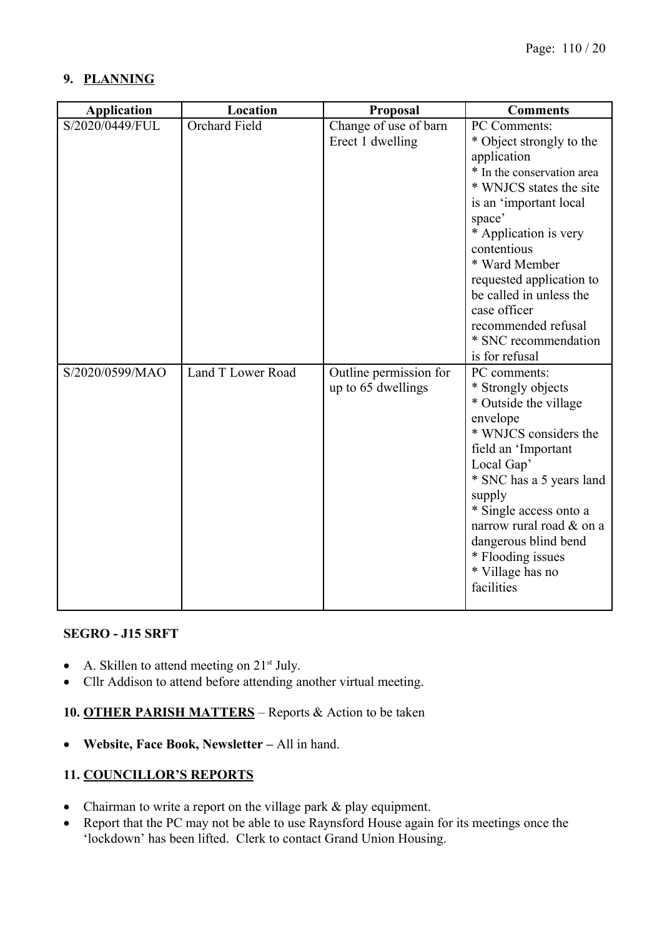## **9. PLANNING**

| <b>Application</b> | Location             | Proposal               | <b>Comments</b>            |
|--------------------|----------------------|------------------------|----------------------------|
| S/2020/0449/FUL    | <b>Orchard Field</b> | Change of use of barn  | PC Comments:               |
|                    |                      | Erect 1 dwelling       | * Object strongly to the   |
|                    |                      |                        | application                |
|                    |                      |                        | * In the conservation area |
|                    |                      |                        | * WNJCS states the site    |
|                    |                      |                        | is an 'important local     |
|                    |                      |                        | space'                     |
|                    |                      |                        | * Application is very      |
|                    |                      |                        | contentious                |
|                    |                      |                        | * Ward Member              |
|                    |                      |                        | requested application to   |
|                    |                      |                        | be called in unless the    |
|                    |                      |                        | case officer               |
|                    |                      |                        | recommended refusal        |
|                    |                      |                        | * SNC recommendation       |
|                    |                      |                        | is for refusal             |
| S/2020/0599/MAO    | Land T Lower Road    | Outline permission for | PC comments:               |
|                    |                      | up to 65 dwellings     | * Strongly objects         |
|                    |                      |                        | * Outside the village      |
|                    |                      |                        | envelope                   |
|                    |                      |                        | * WNJCS considers the      |
|                    |                      |                        | field an 'Important        |
|                    |                      |                        | Local Gap'                 |
|                    |                      |                        | * SNC has a 5 years land   |
|                    |                      |                        | supply                     |
|                    |                      |                        | * Single access onto a     |
|                    |                      |                        | narrow rural road & on a   |
|                    |                      |                        | dangerous blind bend       |
|                    |                      |                        | * Flooding issues          |
|                    |                      |                        | * Village has no           |
|                    |                      |                        | facilities                 |
|                    |                      |                        |                            |

#### **SEGRO - J15 SRFT**

- $\bullet$  A. Skillen to attend meeting on 21<sup>st</sup> July.
- Cllr Addison to attend before attending another virtual meeting.

**10. OTHER PARISH MATTERS** – Reports & Action to be taken

**Website, Face Book, Newsletter –** All in hand.

## **11. COUNCILLOR'S REPORTS**

- Chairman to write a report on the village park & play equipment.
- Report that the PC may not be able to use Raynsford House again for its meetings once the 'lockdown' has been lifted. Clerk to contact Grand Union Housing.